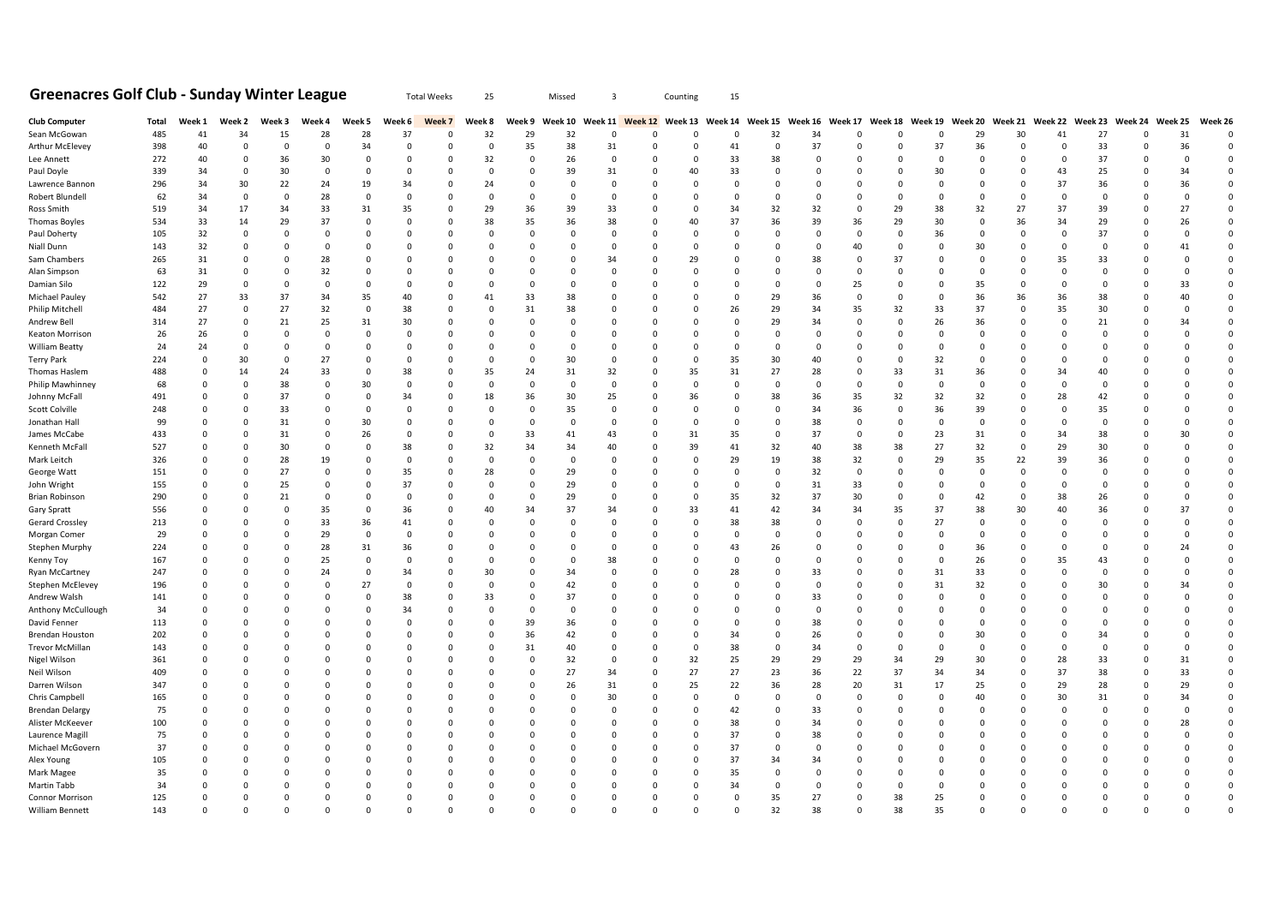## **Greenacres Golf Club - Sunday Winter League** Total Weeks 25 Missed 3 Counting 15

| <b>Club Computer</b>   | Total | Week 1   | Week 2        | Week 3        | Week 4          | Week 5        | Week 6         | Week 7        | Week 8         |             | Week 9 Week 10 |             |          | Week 11 Week 12 Week 13 Week 14 Week 15 Week 16 Week 17 Week 18 Week 19 Week 20 Week 21 Week 22 Week 23 |                |             |             |                |                |                |              |             |             |          | Week 24 Week 25 |          | Week 26     |
|------------------------|-------|----------|---------------|---------------|-----------------|---------------|----------------|---------------|----------------|-------------|----------------|-------------|----------|---------------------------------------------------------------------------------------------------------|----------------|-------------|-------------|----------------|----------------|----------------|--------------|-------------|-------------|----------|-----------------|----------|-------------|
| Sean McGowan           | 485   | 41       | 34            | 15            | 28              | 28            | 37             | 0             | 32             | 29          | 32             | $\Omega$    | 0        | 0                                                                                                       | 0              | 32          | 34          | 0              |                | - 0            | 29           | 30          | 41          | 27       | $\mathbf 0$     | 31       | $\mathbf 0$ |
| Arthur McElevey        | 398   | 40       | $\Omega$      | $\Omega$      | $\Omega$        | 34            | $\Omega$       | $\Omega$      | $\Omega$       | 35          | 38             | 31          | $\Omega$ | $\Omega$                                                                                                | 41             | $\Omega$    | 37          | $\Omega$       | $\Omega$       | 37             | 36           | $\Omega$    | $\Omega$    | 33       | <sup>c</sup>    | 36       | $\Omega$    |
| Lee Annett             | 272   | 40       | $\Omega$      | 36            | 30              | $\Omega$      | $\Omega$       | O             | 32             | $\Omega$    | 26             | $\Omega$    | $\Omega$ | 0                                                                                                       | 33             | 38          | $\Omega$    | $\Omega$       | $\Omega$       | $\mathbf 0$    | $\Omega$     | $\Omega$    | $\Omega$    | 37       | ſ               | $\Omega$ | $\Omega$    |
| Paul Doyle             | 339   | 34       | $\mathbf 0$   | 30            | $\mathbf 0$     | $\mathbf 0$   | $\Omega$       | 0             | 0              | 0           | 39             | 31          | 0        | 40                                                                                                      | 33             | 0           | $\mathbf 0$ | $\Omega$       | $\Omega$       | 30             | $\mathbf 0$  | 0           | 43          | 25       |                 | 34       | $\Omega$    |
| Lawrence Bannon        | 296   | 34       | 30            | 22            | 24              | 19            | 34             | O             | 24             | O           | $\Omega$       | $\Omega$    |          | O                                                                                                       | 0              | 0           | 0           | $\Omega$       |                | 0              | $\Omega$     | O           | 37          | 36       |                 | 36       | $\Omega$    |
| Robert Blundell        | 62    | 34       | 0             | $\Omega$      | 28              | $\mathbf 0$   | 0              | O             | 0              | $\Omega$    | $\Omega$       | $\Omega$    | $\Omega$ | O                                                                                                       | 0              | $\Omega$    | 0           | $\Omega$       | 0              | - 0            | 0            | O           | $\mathbf 0$ | 0        | ſ               | $\Omega$ | $\Omega$    |
| Ross Smith             | 519   | 34       | 17            | 34            | 33              | 31            | 35             | 0             | 29             | 36          | 39             | 33          | $\Omega$ | 0                                                                                                       | 34             | 32          | 32          | $\mathbf 0$    | 29             | 38             | 32           | 27          | 37          | 39       | <sup>c</sup>    | 27       | $\mathbf 0$ |
| <b>Thomas Boyles</b>   | 534   | 33       | 14            | 29            | 37              | $\Omega$      | $\Omega$       | $\Omega$      | 38             | 35          | 36             | 38          |          | 40                                                                                                      | 37             | 36          | 39          | 36             | 29             | 30             | $\mathbf 0$  | 36          | 34          | 29       |                 | 26       | $\mathbf 0$ |
| Paul Doherty           | 105   | 32       | $\mathbf 0$   | $\Omega$      | $\Omega$        | $\Omega$      | $\Omega$       | $\Omega$      | 0              | 0           | $\Omega$       | $\Omega$    | $\Omega$ | O                                                                                                       | $\Omega$       | 0           | 0           | $^{\circ}$     | $\Omega$       | 36             | $\mathbf{0}$ | 0           | $\mathbf 0$ | 37       | -C              | $\Omega$ | $\Omega$    |
| Niall Dunn             | 143   | 32       | $\mathbf 0$   | $\mathbf{0}$  | $\mathbf 0$     | $\Omega$      | $\Omega$       | 0             | 0              | 0           | 0              | $\Omega$    | 0        | O                                                                                                       | 0              | 0           | 0           | 40             | $\Omega$       | 0              | 30           | 0           | 0           | $\circ$  |                 | 41       | $\mathbf 0$ |
| Sam Chambers           | 265   | 31       | $\mathbf 0$   | $\Omega$      | 28              | $\Omega$      | $\Omega$       | O             | O              | O           | n              | 34          |          | 29                                                                                                      |                | 0           | 38          | 0              | 37             | $\overline{0}$ | $\mathbf 0$  | 0           | 35          | 33       |                 |          | $\mathbf 0$ |
| Alan Simpson           | 63    | 31       | 0             | 0             | 32              | $\mathbf 0$   | 0              | 0             | 0              | 0           | -0             | $\Omega$    | $\Omega$ | 0                                                                                                       | 0              | 0           | 0           | 0              | $\Omega$       | - 0            | 0            | 0           | $\mathbf 0$ | 0        | -C              | $\Omega$ | $\mathbf 0$ |
|                        |       |          | $\Omega$      | $\mathbf{0}$  | $\Omega$        | $\Omega$      | n              | $\Omega$      |                | O           | n              |             |          | n                                                                                                       | 0              | $\mathbf 0$ |             |                | $\Omega$       | $\overline{0}$ |              | $\Omega$    | $\mathbf 0$ | $\Omega$ |                 |          | $\Omega$    |
| Damian Silo            | 122   | 29       |               |               |                 |               |                |               | O              |             |                |             |          |                                                                                                         |                |             | 0           | 25             |                |                | 35           |             |             |          |                 | 33       |             |
| Michael Pauley         | 542   | 27       | 33            | 37            | 34              | 35            | 40             | O             | 41             | 33          | 38             |             | $\Omega$ | 0                                                                                                       | $\Omega$       | 29          | 36          | 0              | $\Omega$       | - 0            | 36           | 36          | 36          | 38       | -C              | 40       | $\mathbf 0$ |
| Philip Mitchell        | 484   | 27       | $\mathbf 0$   | 27            | 32              | $\mathbf{0}$  | 38             | 0             | $\mathbf 0$    | 31          | 38             |             | $\Omega$ | 0                                                                                                       | 26             | 29          | 34          | 35             | 32             | 33             | 37           | 0           | 35          | 30       |                 |          | $\mathbf 0$ |
| Andrew Bell            | 314   | 27       | $\mathbf 0$   | 21            | 25              | 31            | 30             | $\mathbf 0$   | 0              | $\mathbf 0$ | $\Omega$       | $\Omega$    | $\Omega$ | O                                                                                                       | 0              | 29          | 34          | $^{\circ}$     | $\Omega$       | 26             | 36           | $\mathbf 0$ | $\mathbf 0$ | 21       | ſ               | 34       | $\Omega$    |
| Keaton Morrison        | 26    | 26       | 0             | 0             | $\mathbf 0$     | $\Omega$      | $\Omega$       | O             | O              | 0           | $\Omega$       |             |          |                                                                                                         | ŋ              | 0           | 0           | 0              | $\Omega$       | $\overline{0}$ | $\mathbf 0$  | 0           | $\mathbf 0$ | 0        |                 |          | $\mathbf 0$ |
| <b>William Beatty</b>  | 24    | 24       | $\mathbf 0$   | $\mathbf 0$   | $\mathbf 0$     | $\mathbf{0}$  | $\mathbf 0$    | $\mathbf 0$   | $\mathbf 0$    | 0           | 0              | $\Omega$    | $\Omega$ | 0                                                                                                       | 0              | $\mathbf 0$ | 0           | $\mathbf 0$    | $\Omega$       | $\overline{0}$ | $\mathbf 0$  | 0           | $\mathbf 0$ | 0        | <sup>c</sup>    |          | $\mathbf 0$ |
| Terry Park             | 224   | $\Omega$ | 30            | $\Omega$      | 27              | $\Omega$      | n              | $\Omega$      | O              | 0           | 30             |             |          | O                                                                                                       | 35             | 30          | 40          | $\Omega$       | $\Omega$       | 32             | $\Omega$     | O           | $\mathbf 0$ | $\Omega$ |                 |          | $\Omega$    |
| Thomas Haslem          | 488   | 0        | 14            | 24            | 33              | 0             | 38             | O             | 35             | 24          | 31             | 32          |          | 35                                                                                                      | 31             | 27          | 28          | 0              | 33             | 31             | 36           |             | 34          | 40       |                 |          | $\mathbf 0$ |
| Philip Mawhinney       | 68    | 0        | $\mathbf 0$   | 38            | $\mathbf 0$     | 30            | $\mathbf 0$    | 0             | 0              | 0           | 0              | $\mathbf 0$ |          | $\mathbf 0$                                                                                             | 0              | 0           | 0           | $\mathbf 0$    | $\mathbf 0$    | $\mathbf 0$    | $\mathbf 0$  | 0           | 0           | 0        |                 |          | $\mathbf 0$ |
| Johnny McFall          | 491   | O        | $\Omega$      | 37            | $\Omega$        | $\Omega$      | 34             | $\mathbf 0$   | 18             | 36          | 30             | 25          |          | 36                                                                                                      | 0              | 38          | 36          | 35             | 32             | 32             | 32           | $\Omega$    | 28          | 42       |                 |          | $\Omega$    |
| Scott Colville         | 248   | 0        | 0             | 33            | 0               | $\mathbf 0$   | 0              | 0             | 0              | 0           | 35             | $\Omega$    | $\Omega$ | 0                                                                                                       | $\Omega$       | 0           | 34          | 36             | $\Omega$       | 36             | 39           | 0           | $\mathbf 0$ | 35       |                 |          | $\mathbf 0$ |
| Jonathan Hall          | 99    | 0        | $\Omega$      | 31            | $\Omega$        | 30            | $\Omega$       | $\Omega$      | $\mathbf 0$    | $\Omega$    | $\Omega$       |             |          | $\Omega$                                                                                                | $\Omega$       | $\mathbf 0$ | 38          | $\Omega$       | $\Omega$       | $\overline{0}$ | $\Omega$     | $\Omega$    | $\Omega$    | $\Omega$ |                 |          | $\Omega$    |
| James McCabe           | 433   | O        | $\Omega$      | 31            | $\Omega$        | 26            | 0              | O             | 0              | 33          | 41             | 43          | $\Omega$ | 31                                                                                                      | 35             | $\mathbf 0$ | 37          | $\Omega$       | $\Omega$       | 23             | 31           | $\Omega$    | 34          | 38       | -C              | 30       | $\Omega$    |
| Kenneth McFall         | 527   | 0        | $\mathbf 0$   | 30            | $\mathbf 0$     | $\mathbf 0$   | 38             | $\Omega$      | 32             | 34          | 34             | 40          | $\Omega$ | 39                                                                                                      | 41             | 32          | 40          | 38             | 38             | 27             | 32           | $\Omega$    | 29          | 30       |                 |          | $\mathbf 0$ |
| Mark Leitch            | 326   | $\Omega$ | $\mathbf 0$   | 28            | 19              | $\Omega$      | $\Omega$       | $\Omega$      | $\mathbf 0$    | $\mathbf 0$ | $\Omega$       | $\Omega$    | $\Omega$ | $\mathbf 0$                                                                                             | 29             | 19          | 38          | 32             | $\Omega$       | 29             | 35           | 22          | 39          | 36       |                 |          | $\Omega$    |
| George Watt            | 151   | O        | $\Omega$      | 27            | $\Omega$        | $\Omega$      | 35             | $\Omega$      | 28             | $\Omega$    | 29             |             | $\Omega$ | O                                                                                                       | $\Omega$       | $\mathbf 0$ | 32          | $\mathbf 0$    | $\Omega$       | $\overline{0}$ | $\mathbf{0}$ | $\mathbf 0$ | $\mathbf 0$ | $\Omega$ |                 |          | $\Omega$    |
| John Wright            | 155   | O        | $\Omega$      | 25            | $\Omega$        | $\mathbf{0}$  | 37             | $\Omega$      | $\overline{0}$ | O           | 29             |             | $\Omega$ | $\Omega$                                                                                                | $\mathbf 0$    | $\mathbf 0$ | 31          | 33             | $\Omega$       | $\overline{0}$ | $\Omega$     | $\mathbf 0$ | $\mathbf 0$ | $\Omega$ |                 |          | $\mathbf 0$ |
| Brian Robinson         | 290   | 0        | 0             | 21            | $\Omega$        | $\Omega$      | $\overline{0}$ | 0             | 0              | 0           | 29             | $\Omega$    | $\Omega$ | O                                                                                                       | 35             | 32          | 37          | 30             | $\Omega$       | $\overline{0}$ | 42           | O           | 38          | 26       | -C              |          | $\mathbf 0$ |
| Gary Spratt            | 556   | 0        | 0             | 0             | 35              | $\Omega$      | 36             | 0             | 40             | 34          | 37             | 34          |          | 33                                                                                                      | 41             | 42          | 34          | 34             | 35             | 37             | 38           | 30          | 40          | 36       |                 | 37       | $\mathbf 0$ |
| <b>Gerard Crossley</b> | 213   | O        | $\Omega$      | $\mathbf 0$   | 33              | 36            | 41             | $\mathbf 0$   | 0              | $\mathbf 0$ | $\Omega$       | $\Omega$    | $\Omega$ | 0                                                                                                       | 38             | 38          | 0           | $\mathbf 0$    | $\Omega$       | 27             | $\mathbf 0$  | $\mathbf 0$ | $\mathbf 0$ | 0        |                 | $\Omega$ | $\mathbf 0$ |
| Morgan Comer           | 29    | O        | 0             | 0             | 29              | $\mathbf 0$   | $\overline{0}$ | $\mathbf 0$   | 0              | 0           | $\Omega$       | $\Omega$    | $\Omega$ | 0                                                                                                       | $\Omega$       | $\mathbf 0$ | 0           | 0              | $\Omega$       | $\overline{0}$ | $\mathbf 0$  | 0           | $\mathbf 0$ | 0        | -C              |          | $\mathbf 0$ |
| Stephen Murphy         | 224   | 0        | 0             | 0             | 28              | 31            | 36             | 0             | 0              | 0           | 0              | $\Omega$    |          | 0                                                                                                       | 43             | 26          | 0           | 0              | $\Omega$       | - 0            | 36           | 0           | $\mathbf 0$ | 0        |                 | 24       | $\mathbf 0$ |
| Kenny Toy              | 167   | n        | $\Omega$      | $\Omega$      | 25              | $\Omega$      | $\Omega$       | $\Omega$      | 0              | n           | $\Omega$       | 38          | $\Omega$ | O                                                                                                       | $\Omega$       | $\Omega$    | $\Omega$    | $\Omega$       | $\Omega$       | 0              | 26           | n           | 35          | 43       |                 | $\Omega$ | $\Omega$    |
| Ryan McCartney         | 247   | 0        | 0             | 0             | 24              | $\mathbf 0$   | 34             | 0             | 30             | 0           | 34             | $\Omega$    | $\Omega$ | 0                                                                                                       | 28             | 0           | 33          | 0              | 0              | 31             | 33           | 0           | $\mathbf 0$ | 0        | -C              |          | $\mathbf 0$ |
| Stephen McElevey       | 196   | 0        | $\mathbf 0$   | $\mathbf 0$   | $\mathbf 0$     | 27            | $\mathbf 0$    | 0             | $\mathbf 0$    | 0           | 42             |             |          | $\Omega$                                                                                                |                | $\mathbf 0$ | $\mathbf 0$ | $\Omega$       | $\Omega$       | 31             | 32           | $\Omega$    | $\mathbf 0$ | 30       |                 | 34       | $\mathbf 0$ |
| Andrew Walsh           | 141   | 0        | $\Omega$      | $\Omega$      | $\Omega$        | $\Omega$      | 38             | $\Omega$      | 33             | O           | 37             |             | $\Omega$ | n                                                                                                       | $\Omega$       | $\Omega$    | 33          | $\Omega$       |                | $^{\circ}$     | $\Omega$     | n           | $\Omega$    | $\Omega$ |                 |          | $\Omega$    |
| Anthony McCullough     | 34    | 0        | $\Omega$      | 0             | $\mathbf 0$     | $\mathbf 0$   | 34             | 0             | 0              | 0           | - 0            | -0          | $\Omega$ | O                                                                                                       | 0              | 0           | 0           | 0              | 0              | - 0            | 0            | 0           | 0           | 0        |                 |          | $\mathbf 0$ |
| David Fenner           | 113   | 0        | $\mathbf 0$   | $\mathbf 0$   | $\mathbf 0$     | $\mathbf{0}$  | $\mathbf 0$    | 0             | $\mathbf 0$    | 39          | 36             |             |          | 0                                                                                                       | 0              | 0           | 38          | $\mathbf 0$    | $\Omega$       | $\overline{0}$ | $\mathbf 0$  | $\Omega$    | 0           | 0        |                 |          | $\mathbf 0$ |
| Brendan Houston        | 202   | 0        | $\Omega$      | $\Omega$      |                 | $\Omega$      | $\Omega$       | O             | $\mathbf 0$    | 36          | 42             |             |          | 0                                                                                                       | 34             | $\Omega$    | 26          | $\Omega$       | $\Omega$       | $\overline{0}$ | 30           |             | $\Omega$    | 34       |                 |          | $\Omega$    |
| <b>Trevor McMillan</b> | 143   | 0        | $\Omega$      | 0             | $\Omega$        | $\mathbf 0$   | $\Omega$       | $\mathbf 0$   | 0              | 31          | 40             | $\Omega$    | $\Omega$ | 0                                                                                                       | 38             | 0           | 34          | $\mathbf 0$    | $\Omega$       | $\overline{0}$ | 0            | 0           | $\mathbf 0$ | 0        | -C              | $\Omega$ | $\mathbf 0$ |
| Nigel Wilson           | 361   |          | 0             | $\mathbf 0$   |                 |               | 0              | 0             | O              | 0           | 32             |             | 0        | 32                                                                                                      | 25             | 29          | 29          | 29             | 34             | 29             | 30           | 0           | 28          | 33       | C               | 31       | $\mathbf 0$ |
| Neil Wilson            | 409   | 0        | $\Omega$      | $\Omega$      |                 | $\Omega$      | $\Omega$       | O             | $\Omega$       | $\Omega$    | 27             | 34          | $\Omega$ |                                                                                                         | 27             | 23          |             | 22             | 37             | 34             | 34           | O           | 37          | 38       | ſ               | 33       | $\Omega$    |
|                        |       |          |               |               |                 |               |                |               |                |             |                |             |          | 27                                                                                                      |                |             | 36          |                |                |                |              |             |             |          |                 |          | $\mathbf 0$ |
| Darren Wilson          | 347   | 0<br>0   | 0<br>$\Omega$ | 0<br>$\Omega$ | - 0<br>$\Omega$ | 0<br>$\Omega$ | 0<br>n         | 0<br>$\Omega$ | 0              | 0<br>O      | 26<br>$\Omega$ | 31<br>30    | 0        | 25<br>$\Omega$                                                                                          | 22<br>$\Omega$ | 36          | 28          | 20<br>$\Omega$ | 31<br>$\Omega$ | 17             | 25           | 0<br>O      | 29          | 28       | -C<br>ſ         | 29<br>34 | $\Omega$    |
| Chris Campbell         | 165   |          |               |               |                 |               |                |               | 0              |             |                |             |          |                                                                                                         |                | 0           | 0           |                |                | $\mathbf 0$    | 40           |             | 30          | 31       |                 |          |             |
| <b>Brendan Delargy</b> | 75    | 0        | C             | $\Omega$      |                 |               |                | O             | 0              | O           | $\Omega$       |             | $\Omega$ | 0                                                                                                       | 42             | 0           | 33          | $\Omega$       |                | $\mathbf 0$    | $\Omega$     |             | $\mathbf 0$ | $\Omega$ |                 | $\Omega$ | $\Omega$    |
| Alister McKeever       | 100   | 0        | $\mathbf 0$   | $\mathbf 0$   | $\Omega$        | $\mathbf 0$   | $\Omega$       | 0             | O              | 0           | -0             | -0          | 0        | 0                                                                                                       | 38             | 0           | 34          | $\mathbf 0$    | $\Omega$       | $\overline{0}$ | $\mathbf 0$  | $\Omega$    | $\mathbf 0$ | U        |                 | 28       | $\mathbf 0$ |
| Laurence Magill        | 75    | O        | 0             | $\Omega$      | $\Omega$        | $\Omega$      | $\Omega$       | $\Omega$      | 0              | O           | $\Omega$       |             | $\Omega$ | $\Omega$                                                                                                | 37             | $\mathbf 0$ | 38          | $\Omega$       | $\Omega$       | $\Omega$       | $\Omega$     | O           | $\Omega$    | $\Omega$ | ſ               | $\Omega$ | $\Omega$    |
| Michael McGovern       | 37    | 0        | $\Omega$      | $\Omega$      |                 | $\Omega$      |                | O             | 0              | O           | -0             |             | $\Omega$ | 0                                                                                                       | 37             | 0           | 0           | $\Omega$       |                | 0              | 0            |             | 0           | 0        |                 |          | $\Omega$    |
| Alex Young             | 105   | O        | $\mathbf 0$   | $\mathbf 0$   | $\Omega$        | $\mathbf 0$   | 0              | $\mathbf 0$   | 0              | 0           | -0             | $\Omega$    | 0        | 0                                                                                                       | 37             | 34          | 34          | $\mathbf 0$    | $\Omega$       | $\mathbf 0$    | $\mathbf 0$  | O           | $\mathbf 0$ | 0        | -C              |          | $\mathbf 0$ |
| Mark Magee             | 35    |          | $\Omega$      | $\Omega$      | $\Omega$        | $\Omega$      | n              | O             | O              | O           | $\Omega$       |             |          | O                                                                                                       | 35             | 0           | 0           | $\Omega$       | $\Omega$       | $\Omega$       | $\Omega$     | n           | $\Omega$    | $\Omega$ |                 |          | $\Omega$    |
| Martin Tabb            | 34    | 0        | $\Omega$      | $\mathbf 0$   |                 | $\Omega$      | $\Omega$       | 0             | 0              | 0           | $\Omega$       |             | $\Omega$ | 0                                                                                                       | 34             | $\mathbf 0$ | $\mathbf 0$ | $\Omega$       | $\Omega$       | 0              | $\Omega$     | 0           | $\mathbf 0$ | 0        |                 |          | $\Omega$    |
| <b>Connor Morrison</b> | 125   | 0        | $\mathbf 0$   | $\mathbf 0$   |                 | $\mathbf 0$   | 0              | $\mathbf 0$   | O              | 0           | 0              |             | 0        | 0                                                                                                       | 0              | 35          | 27          | $\mathbf 0$    | 38             | 25             | 0            | 0           | $\mathbf 0$ |          |                 |          | $\mathbf 0$ |
| William Bennett        | 143   | $\Omega$ | $\Omega$      | $\mathbf{0}$  | $\Omega$        | $\Omega$      | $\Omega$       | $\Omega$      | $\Omega$       | $\Omega$    | $\Omega$       | $\Omega$    | $\Omega$ | $\Omega$                                                                                                | $\Omega$       | 32          | 38          | $\Omega$       | 38             | 35             | $\Omega$     | $\Omega$    | $\Omega$    | $\Omega$ | $\sqrt{ }$      | $\Omega$ |             |